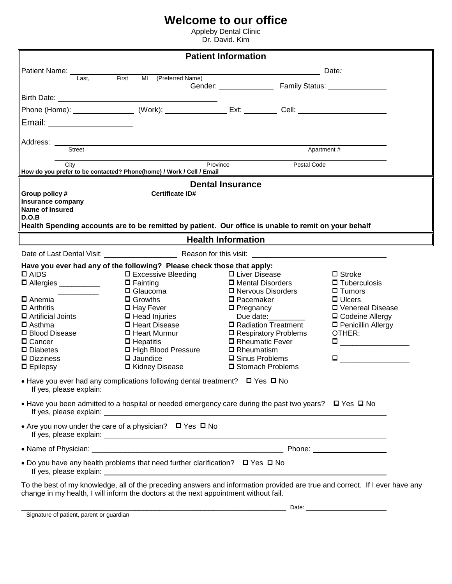## **Welcome to our office**

Appleby Dental Clinic Dr. David. Kim

| <b>Patient Information</b>                                                                                                                                                                                           |                                                                                                                                                                                                                                                                                                                                                                                                                  |                                                                                                                                                                                                                                                           |                                                                                                                                                                                                                     |
|----------------------------------------------------------------------------------------------------------------------------------------------------------------------------------------------------------------------|------------------------------------------------------------------------------------------------------------------------------------------------------------------------------------------------------------------------------------------------------------------------------------------------------------------------------------------------------------------------------------------------------------------|-----------------------------------------------------------------------------------------------------------------------------------------------------------------------------------------------------------------------------------------------------------|---------------------------------------------------------------------------------------------------------------------------------------------------------------------------------------------------------------------|
| Patient Name:                                                                                                                                                                                                        |                                                                                                                                                                                                                                                                                                                                                                                                                  |                                                                                                                                                                                                                                                           | Date:                                                                                                                                                                                                               |
| Last.                                                                                                                                                                                                                | First<br>MI (Preferred Name)                                                                                                                                                                                                                                                                                                                                                                                     | Gender: Family Status:                                                                                                                                                                                                                                    |                                                                                                                                                                                                                     |
|                                                                                                                                                                                                                      |                                                                                                                                                                                                                                                                                                                                                                                                                  |                                                                                                                                                                                                                                                           |                                                                                                                                                                                                                     |
|                                                                                                                                                                                                                      | Phone (Home): ___________________ (Work): ____________________ Ext: ___________ Cell: ________________________                                                                                                                                                                                                                                                                                                   |                                                                                                                                                                                                                                                           |                                                                                                                                                                                                                     |
| Email: ______________________                                                                                                                                                                                        |                                                                                                                                                                                                                                                                                                                                                                                                                  |                                                                                                                                                                                                                                                           |                                                                                                                                                                                                                     |
| Address:<br>Street                                                                                                                                                                                                   |                                                                                                                                                                                                                                                                                                                                                                                                                  |                                                                                                                                                                                                                                                           | Apartment#                                                                                                                                                                                                          |
| City                                                                                                                                                                                                                 | How do you prefer to be contacted? Phone(home) / Work / Cell / Email                                                                                                                                                                                                                                                                                                                                             | Province<br>Postal Code                                                                                                                                                                                                                                   |                                                                                                                                                                                                                     |
|                                                                                                                                                                                                                      |                                                                                                                                                                                                                                                                                                                                                                                                                  | <b>Dental Insurance</b>                                                                                                                                                                                                                                   |                                                                                                                                                                                                                     |
| Group policy #<br><b>Insurance company</b><br><b>Name of Insured</b><br>D.O.B                                                                                                                                        | <b>Certificate ID#</b><br>Health Spending accounts are to be remitted by patient. Our office is unable to remit on your behalf                                                                                                                                                                                                                                                                                   |                                                                                                                                                                                                                                                           |                                                                                                                                                                                                                     |
|                                                                                                                                                                                                                      |                                                                                                                                                                                                                                                                                                                                                                                                                  | <b>Health Information</b>                                                                                                                                                                                                                                 |                                                                                                                                                                                                                     |
|                                                                                                                                                                                                                      | Date of Last Dental Visit: Same School School School School School School School School School School School S                                                                                                                                                                                                                                                                                                   |                                                                                                                                                                                                                                                           |                                                                                                                                                                                                                     |
| $\square$ AIDS<br>□ Allergies __________<br><b>□</b> Anemia<br>$\Box$ Arthritis<br>□ Artificial Joints<br>$\square$ Asthma<br>□ Blood Disease<br>□ Cancer<br>$\square$ Diabetes<br>D Dizziness<br>$\square$ Epilepsy | Have you ever had any of the following? Please check those that apply:<br>□ Excessive Bleeding<br>$\Box$ Fainting<br>$\Box$ Glaucoma<br>$\Box$ Growths<br>□ Hay Fever<br>$\Box$ Head Injuries<br>□ Heart Disease<br>□ Heart Murmur<br>$\Box$ Hepatitis<br>□ High Blood Pressure<br>$\Box$ Jaundice<br>□ Kidney Disease<br>• Have you ever had any complications following dental treatment? $\Box$ Yes $\Box$ No | □ Liver Disease<br>□ Mental Disorders<br>□ Nervous Disorders<br>$\square$ Pacemaker<br>$\square$ Pregnancy<br>Due date:<br>□ Radiation Treatment<br>□ Respiratory Problems<br>□ Rheumatic Fever<br>□ Rheumatism<br>□ Sinus Problems<br>□ Stomach Problems | $\Box$ Stroke<br>$\Box$ Tuberculosis<br>$\Box$ Tumors<br>$\Box$ Ulcers<br>□ Venereal Disease<br>□ Codeine Allergy<br>□ Penicillin Allergy<br>OTHER:<br>$\Box$ and the set of $\Box$ and $\Box$ and $\Box$<br>$\Box$ |
|                                                                                                                                                                                                                      | • Have you been admitted to a hospital or needed emergency care during the past two years? $\Box$ Yes $\Box$ No                                                                                                                                                                                                                                                                                                  |                                                                                                                                                                                                                                                           |                                                                                                                                                                                                                     |
|                                                                                                                                                                                                                      | • Are you now under the care of a physician? $\Box$ Yes $\Box$ No                                                                                                                                                                                                                                                                                                                                                |                                                                                                                                                                                                                                                           |                                                                                                                                                                                                                     |
|                                                                                                                                                                                                                      |                                                                                                                                                                                                                                                                                                                                                                                                                  |                                                                                                                                                                                                                                                           |                                                                                                                                                                                                                     |
|                                                                                                                                                                                                                      | • Do you have any health problems that need further clarification? $\Box$ Yes $\Box$ No                                                                                                                                                                                                                                                                                                                          |                                                                                                                                                                                                                                                           |                                                                                                                                                                                                                     |
|                                                                                                                                                                                                                      | To the best of my knowledge, all of the preceding answers and information provided are true and correct. If I ever have any<br>change in my health, I will inform the doctors at the next appointment without fail.                                                                                                                                                                                              |                                                                                                                                                                                                                                                           |                                                                                                                                                                                                                     |
| Signature of patient, parent or guardian                                                                                                                                                                             |                                                                                                                                                                                                                                                                                                                                                                                                                  |                                                                                                                                                                                                                                                           |                                                                                                                                                                                                                     |